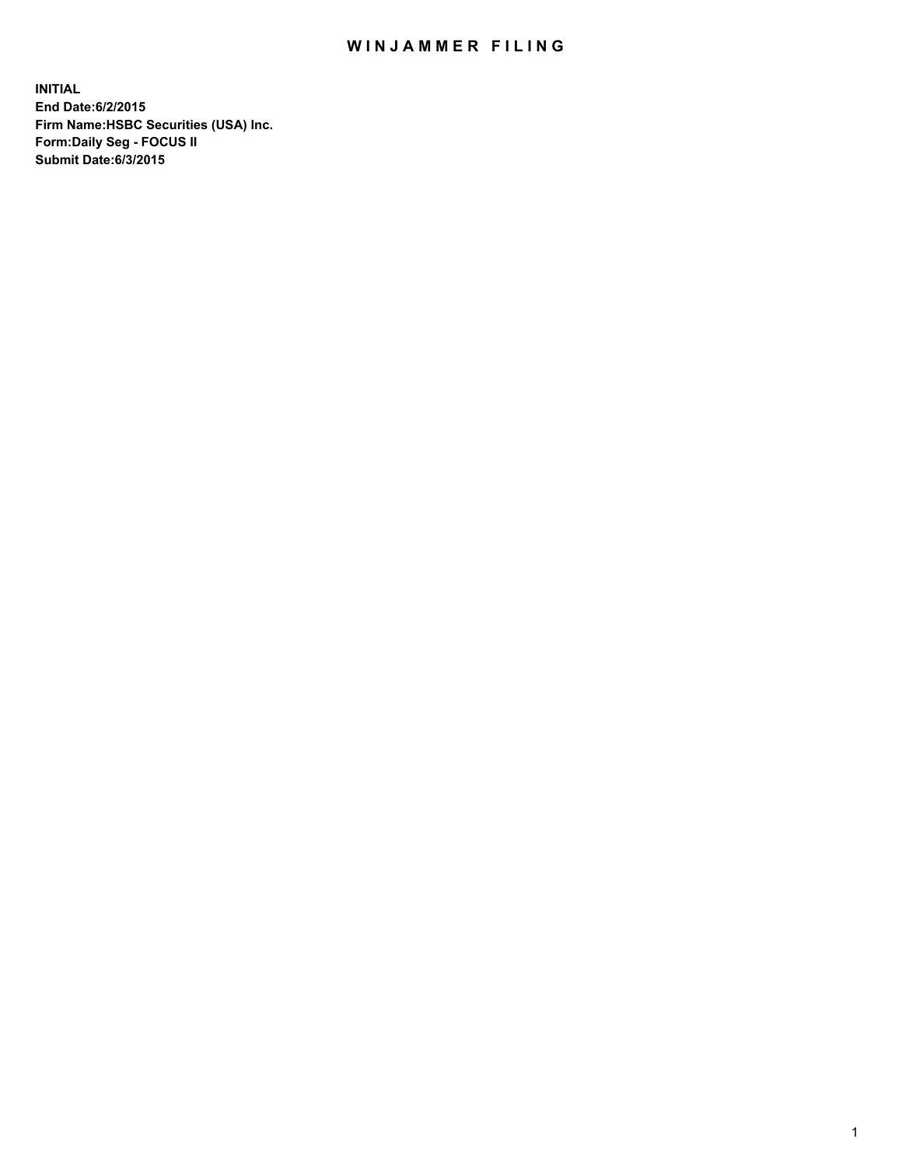## WIN JAMMER FILING

**INITIAL End Date:6/2/2015 Firm Name:HSBC Securities (USA) Inc. Form:Daily Seg - FOCUS II Submit Date:6/3/2015**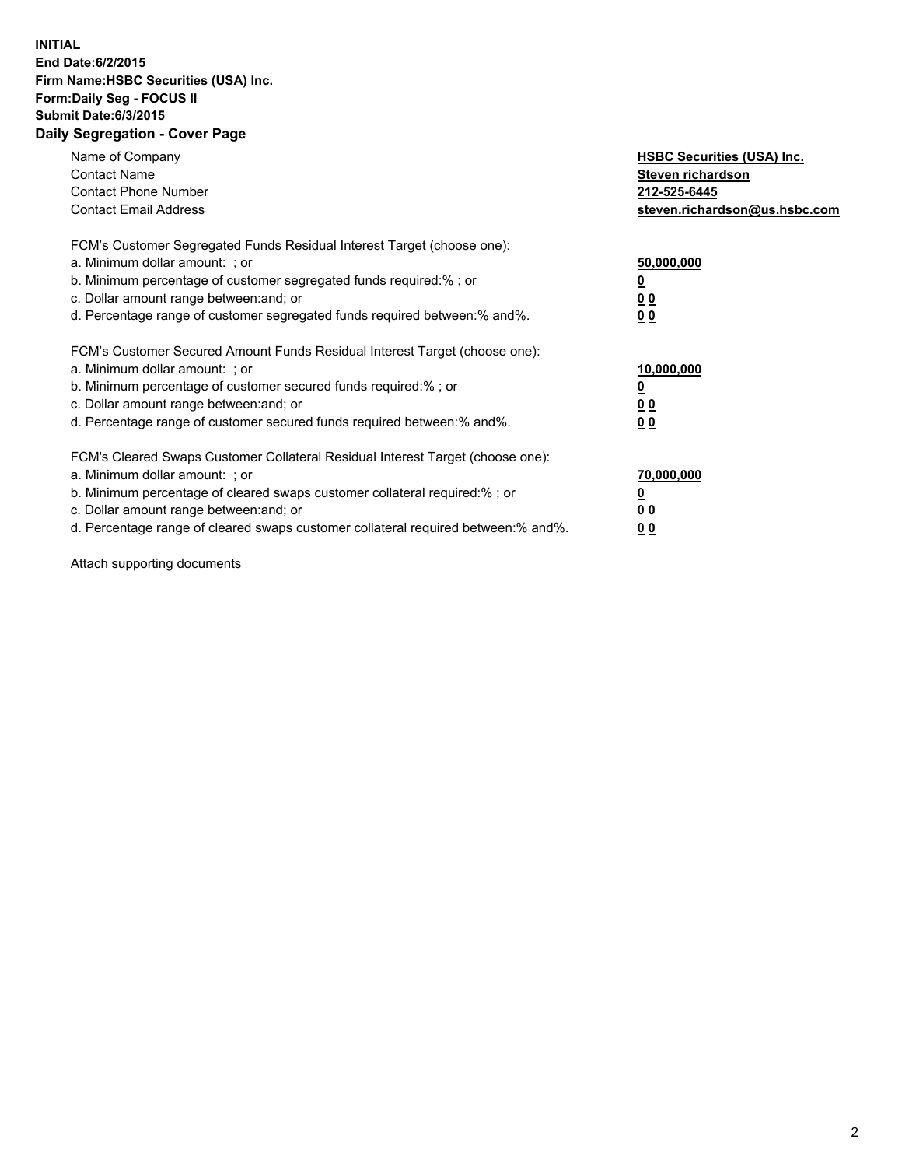## **INITIAL End Date:6/2/2015 Firm Name:HSBC Securities (USA) Inc. Form:Daily Seg - FOCUS II Submit Date:6/3/2015 Daily Segregation - Cover Page**

| Name of Company<br><b>Contact Name</b><br><b>Contact Phone Number</b><br><b>Contact Email Address</b>                                                                                                                                                                                                                         | <b>HSBC Securities (USA) Inc.</b><br>Steven richardson<br>212-525-6445<br>steven.richardson@us.hsbc.com |
|-------------------------------------------------------------------------------------------------------------------------------------------------------------------------------------------------------------------------------------------------------------------------------------------------------------------------------|---------------------------------------------------------------------------------------------------------|
| FCM's Customer Segregated Funds Residual Interest Target (choose one):<br>a. Minimum dollar amount: ; or<br>b. Minimum percentage of customer segregated funds required:% ; or<br>c. Dollar amount range between: and; or<br>d. Percentage range of customer segregated funds required between: % and %.                      | 50,000,000<br>00<br>0 <sub>0</sub>                                                                      |
| FCM's Customer Secured Amount Funds Residual Interest Target (choose one):<br>a. Minimum dollar amount: ; or<br>b. Minimum percentage of customer secured funds required:%; or<br>c. Dollar amount range between: and; or<br>d. Percentage range of customer secured funds required between:% and%.                           | 10,000,000<br>0 <sub>0</sub><br>0 <sub>0</sub>                                                          |
| FCM's Cleared Swaps Customer Collateral Residual Interest Target (choose one):<br>a. Minimum dollar amount: ; or<br>b. Minimum percentage of cleared swaps customer collateral required:%; or<br>c. Dollar amount range between: and; or<br>d. Percentage range of cleared swaps customer collateral required between:% and%. | 70,000,000<br>0 <sub>0</sub><br>00                                                                      |

Attach supporting documents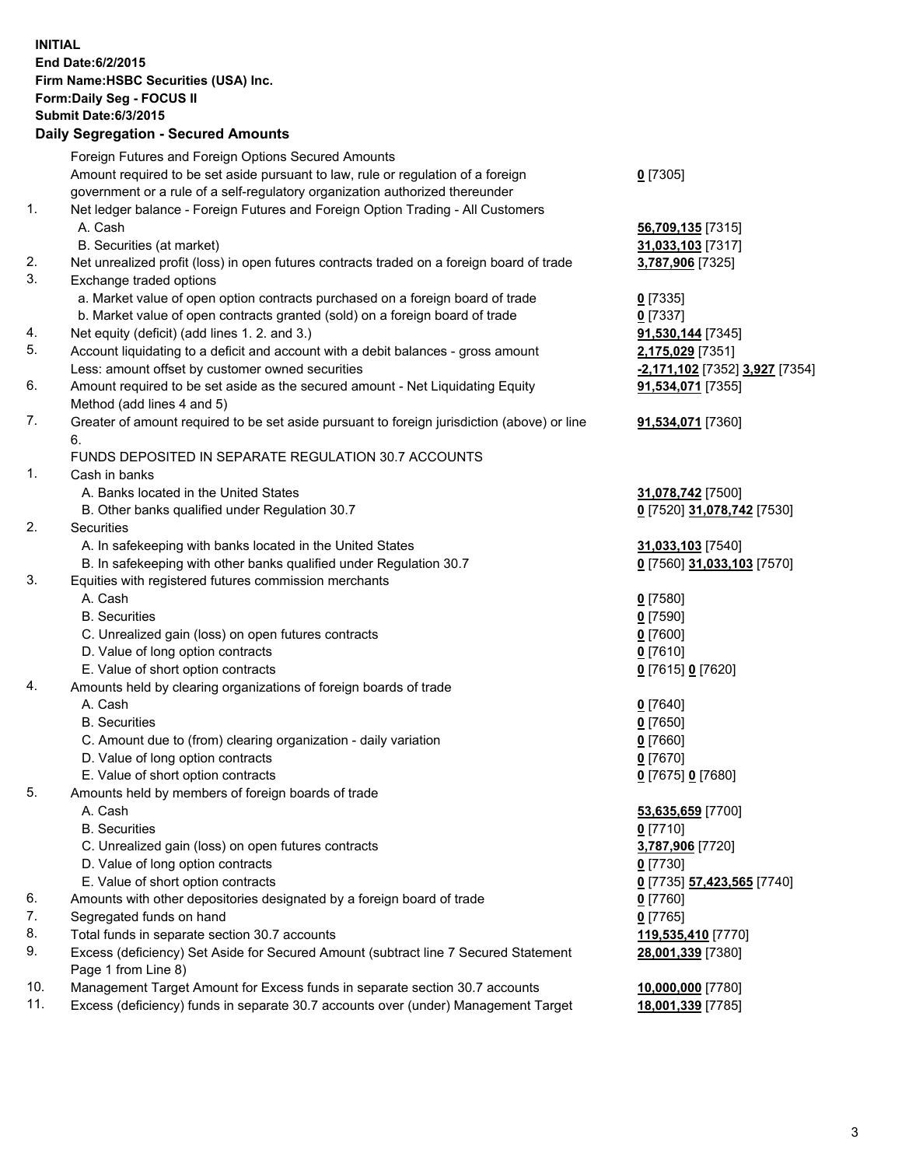**INITIAL End Date:6/2/2015 Firm Name:HSBC Securities (USA) Inc. Form:Daily Seg - FOCUS II Submit Date:6/3/2015 Daily Segregation - Secured Amounts** Foreign Futures and Foreign Options Secured Amounts Amount required to be set aside pursuant to law, rule or regulation of a foreign government or a rule of a self-regulatory organization authorized thereunder **0** [7305] 1. Net ledger balance - Foreign Futures and Foreign Option Trading - All Customers A. Cash **56,709,135** [7315] B. Securities (at market) **31,033,103** [7317] 2. Net unrealized profit (loss) in open futures contracts traded on a foreign board of trade **3,787,906** [7325] 3. Exchange traded options a. Market value of open option contracts purchased on a foreign board of trade **0** [7335] b. Market value of open contracts granted (sold) on a foreign board of trade **0** [7337] 4. Net equity (deficit) (add lines 1. 2. and 3.) **91,530,144** [7345] 5. Account liquidating to a deficit and account with a debit balances - gross amount **2,175,029** [7351] Less: amount offset by customer owned securities **-2,171,102** [7352] **3,927** [7354] 6. Amount required to be set aside as the secured amount - Net Liquidating Equity Method (add lines 4 and 5) **91,534,071** [7355] 7. Greater of amount required to be set aside pursuant to foreign jurisdiction (above) or line 6. **91,534,071** [7360] FUNDS DEPOSITED IN SEPARATE REGULATION 30.7 ACCOUNTS 1. Cash in banks A. Banks located in the United States **31,078,742** [7500] B. Other banks qualified under Regulation 30.7 **0** [7520] **31,078,742** [7530] 2. Securities A. In safekeeping with banks located in the United States **31,033,103** [7540] B. In safekeeping with other banks qualified under Regulation 30.7 **0** [7560] **31,033,103** [7570] 3. Equities with registered futures commission merchants A. Cash **0** [7580] B. Securities **0** [7590] C. Unrealized gain (loss) on open futures contracts **0** [7600] D. Value of long option contracts **0** [7610] E. Value of short option contracts **0** [7615] **0** [7620] 4. Amounts held by clearing organizations of foreign boards of trade A. Cash **0** [7640] B. Securities **0** [7650] C. Amount due to (from) clearing organization - daily variation **0** [7660] D. Value of long option contracts **0** [7670] E. Value of short option contracts **0** [7675] **0** [7680] 5. Amounts held by members of foreign boards of trade A. Cash **53,635,659** [7700] B. Securities **0** [7710] C. Unrealized gain (loss) on open futures contracts **3,787,906** [7720] D. Value of long option contracts **0** [7730] E. Value of short option contracts **0** [7735] **57,423,565** [7740] 6. Amounts with other depositories designated by a foreign board of trade **0** [7760] 7. Segregated funds on hand **0** [7765] 8. Total funds in separate section 30.7 accounts **119,535,410** [7770] 9. Excess (deficiency) Set Aside for Secured Amount (subtract line 7 Secured Statement Page 1 from Line 8) **28,001,339** [7380] 10. Management Target Amount for Excess funds in separate section 30.7 accounts **10,000,000** [7780]

11. Excess (deficiency) funds in separate 30.7 accounts over (under) Management Target **18,001,339** [7785]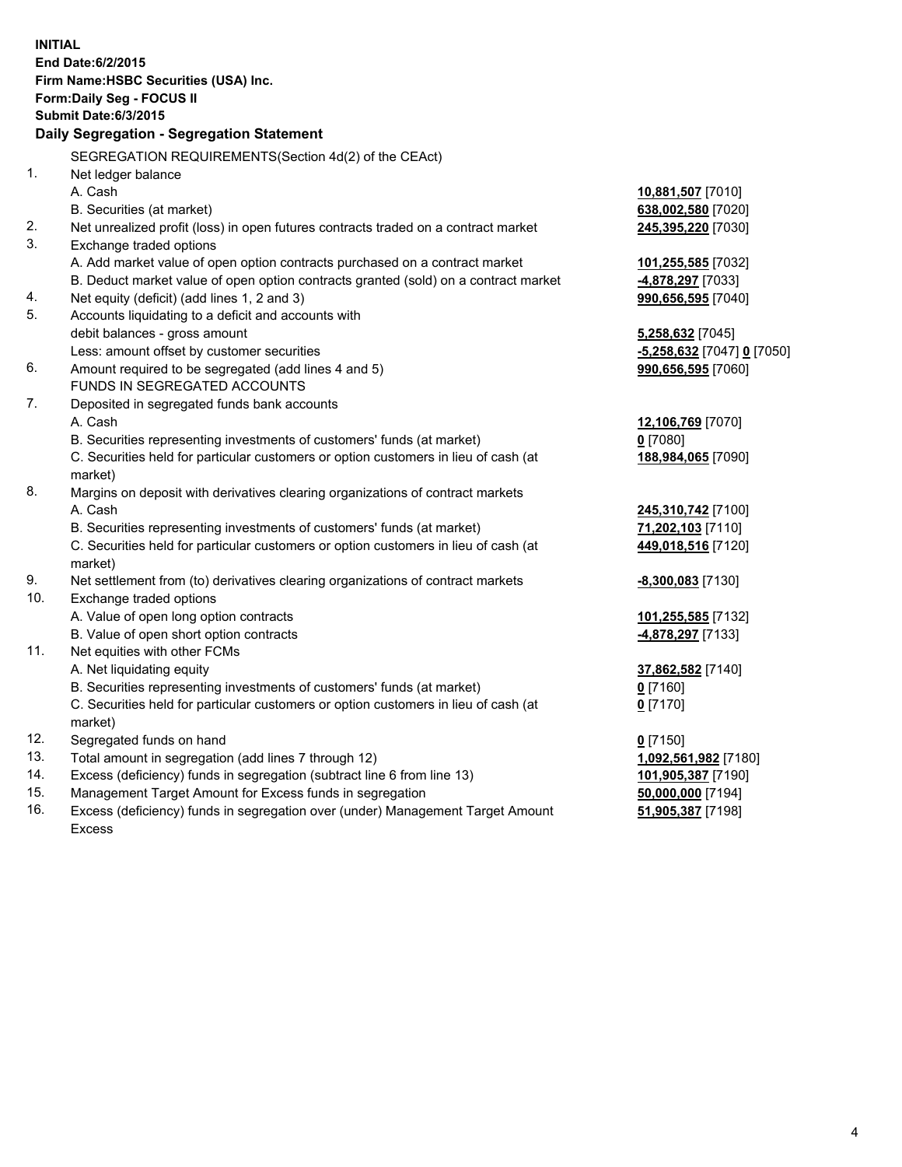| <b>INITIAL</b>                        |                                                                                                |                               |  |  |  |  |
|---------------------------------------|------------------------------------------------------------------------------------------------|-------------------------------|--|--|--|--|
| End Date: 6/2/2015                    |                                                                                                |                               |  |  |  |  |
| Firm Name: HSBC Securities (USA) Inc. |                                                                                                |                               |  |  |  |  |
|                                       | Form: Daily Seg - FOCUS II                                                                     |                               |  |  |  |  |
|                                       | <b>Submit Date:6/3/2015</b>                                                                    |                               |  |  |  |  |
|                                       | Daily Segregation - Segregation Statement                                                      |                               |  |  |  |  |
|                                       | SEGREGATION REQUIREMENTS(Section 4d(2) of the CEAct)                                           |                               |  |  |  |  |
| 1.                                    | Net ledger balance                                                                             |                               |  |  |  |  |
|                                       | A. Cash                                                                                        | 10,881,507 [7010]             |  |  |  |  |
|                                       | B. Securities (at market)                                                                      | 638,002,580 [7020]            |  |  |  |  |
| 2.                                    | Net unrealized profit (loss) in open futures contracts traded on a contract market             | 245,395,220 [7030]            |  |  |  |  |
| 3.                                    | Exchange traded options                                                                        |                               |  |  |  |  |
|                                       | A. Add market value of open option contracts purchased on a contract market                    | 101,255,585 [7032]            |  |  |  |  |
|                                       | B. Deduct market value of open option contracts granted (sold) on a contract market            | -4,878,297 [7033]             |  |  |  |  |
| 4.                                    | Net equity (deficit) (add lines 1, 2 and 3)                                                    | 990,656,595 [7040]            |  |  |  |  |
| 5.                                    | Accounts liquidating to a deficit and accounts with                                            |                               |  |  |  |  |
|                                       | debit balances - gross amount                                                                  | 5,258,632 [7045]              |  |  |  |  |
|                                       | Less: amount offset by customer securities                                                     | -5,258,632 [7047] 0 [7050]    |  |  |  |  |
| 6.                                    | Amount required to be segregated (add lines 4 and 5)                                           | 990,656,595 [7060]            |  |  |  |  |
|                                       | FUNDS IN SEGREGATED ACCOUNTS                                                                   |                               |  |  |  |  |
| 7.                                    | Deposited in segregated funds bank accounts                                                    |                               |  |  |  |  |
|                                       | A. Cash                                                                                        | 12,106,769 [7070]             |  |  |  |  |
|                                       | B. Securities representing investments of customers' funds (at market)                         | $0$ [7080]                    |  |  |  |  |
|                                       | C. Securities held for particular customers or option customers in lieu of cash (at<br>market) | 188,984,065 [7090]            |  |  |  |  |
| 8.                                    | Margins on deposit with derivatives clearing organizations of contract markets                 |                               |  |  |  |  |
|                                       | A. Cash                                                                                        | 245,310,742 <sup>[7100]</sup> |  |  |  |  |
|                                       | B. Securities representing investments of customers' funds (at market)                         | 71,202,103 [7110]             |  |  |  |  |
|                                       | C. Securities held for particular customers or option customers in lieu of cash (at<br>market) | 449,018,516 [7120]            |  |  |  |  |
| 9.                                    | Net settlement from (to) derivatives clearing organizations of contract markets                | -8,300,083 [7130]             |  |  |  |  |
| 10.                                   | Exchange traded options                                                                        |                               |  |  |  |  |
|                                       | A. Value of open long option contracts                                                         | 101,255,585 [7132]            |  |  |  |  |
|                                       | B. Value of open short option contracts                                                        | -4,878,297 [7133]             |  |  |  |  |
| 11.                                   | Net equities with other FCMs                                                                   |                               |  |  |  |  |
|                                       | A. Net liquidating equity                                                                      | 37,862,582 [7140]             |  |  |  |  |
|                                       | B. Securities representing investments of customers' funds (at market)                         | 0 [7160]                      |  |  |  |  |
|                                       | C. Securities held for particular customers or option customers in lieu of cash (at            | $0$ [7170]                    |  |  |  |  |
|                                       | market)                                                                                        |                               |  |  |  |  |
| 12.                                   | Segregated funds on hand                                                                       | $0$ [7150]                    |  |  |  |  |
| 13.                                   | Total amount in segregation (add lines 7 through 12)                                           | 1,092,561,982 [7180]          |  |  |  |  |
| 14.                                   | Excess (deficiency) funds in segregation (subtract line 6 from line 13)                        | 101,905,387 [7190]            |  |  |  |  |
| 15.                                   | Management Target Amount for Excess funds in segregation                                       | 50,000,000 [7194]             |  |  |  |  |

16. Excess (deficiency) funds in segregation over (under) Management Target Amount Excess

**51,905,387** [7198]